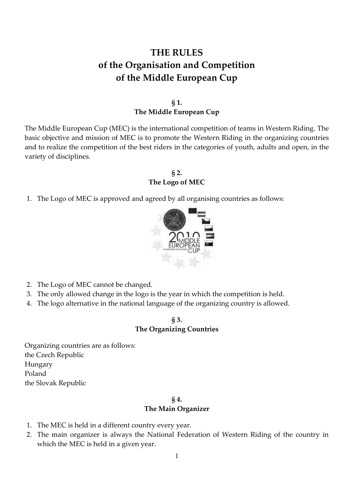# **THE RULES of the Organisation and Competition of the Middle European Cup**

# **§ 1. The Middle European Cup**

The Middle European Cup (MEC) is the international competition of teams in Western Riding. The basic objective and mission of MEC is to promote the Western Riding in the organizing countries and to realize the competition of the best riders in the categories of youth, adults and open, in the variety of disciplines.

# **§ 2. The Logo of MEC**

1. The Logo of MEC is approved and agreed by all organising countries as follows:



- 2. The Logo of MEC cannot be changed.
- 3. The only allowed change in the logo is the year in which the competition is held.
- 4. The logo alternative in the national language of the organizing country is allowed.

### **§ 3. The Organizing Countries**

Organizing countries are as follows: the Czech Republic Hungary Poland the Slovak Republic

# **§ 4.**

### **The Main Organizer**

- 1. The MEC is held in a different country every year.
- 2. The main organizer is always the National Federation of Western Riding of the country in which the MEC is held in a given year.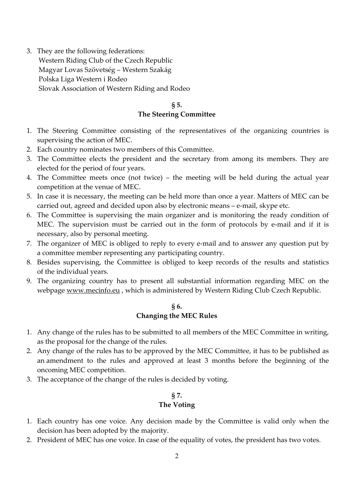3. They are the following federations: Western Riding Club of the Czech Republic Magyar Lovas Szövetség – Western Szakág Polska Liga Western i Rodeo Slovak Association of Western Riding and Rodeo

# **§ 5. The Steering Committee**

- 1. The Steering Committee consisting of the representatives of the organizing countries is supervising the action of MEC.
- 2. Each country nominates two members of this Committee.
- 3. The Committee elects the president and the secretary from among its members. They are elected for the period of four years.
- 4. The Committee meets once (not twice) the meeting will be held during the actual year competition at the venue of MEC.
- 5. In case it is necessary, the meeting can be held more than once a year. Matters of MEC can be carried out, agreed and decided upon also by electronic means – e-mail, skype etc.
- 6. The Committee is supervising the main organizer and is monitoring the ready condition of MEC. The supervision must be carried out in the form of protocols by e-mail and if it is necessary, also by personal meeting.
- 7. The organizer of MEC is obliged to reply to every e-mail and to answer any question put by a committee member representing any participating country.
- 8. Besides supervising, the Committee is obliged to keep records of the results and statistics of the individual years.
- 9. The organizing country has to present all substantial information regarding MEC on the webpage www.mecinfo.eu , which is administered by Western Riding Club Czech Republic.

# **§ 6. Changing the MEC Rules**

- 1. Any change of the rules has to be submitted to all members of the MEC Committee in writing, as the proposal for the change of the rules.
- 2. Any change of the rules has to be approved by the MEC Committee, it has to be published as an amendment to the rules and approved at least 3 months before the beginning of the oncoming MEC competition.
- 3. The acceptance of the change of the rules is decided by voting.

# **§ 7. The Voting**

- 1. Each country has one voice. Any decision made by the Committee is valid only when the decision has been adopted by the majority.
- 2. President of MEC has one voice. In case of the equality of votes, the president has two votes.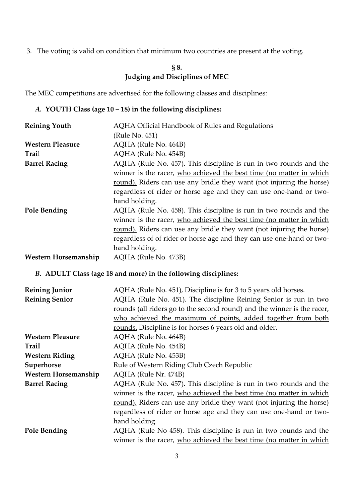3. The voting is valid on condition that minimum two countries are present at the voting.

# **§ 8. Judging and Disciplines of MEC**

The MEC competitions are advertised for the following classes and disciplines:

# *A.* **YOUTH Class (age 10 – 18) in the following disciplines:**

| <b>Reining Youth</b>        | AQHA Official Handbook of Rules and Regulations                       |  |  |
|-----------------------------|-----------------------------------------------------------------------|--|--|
|                             | (Rule No. 451)                                                        |  |  |
| <b>Western Pleasure</b>     | AQHA (Rule No. 464B)                                                  |  |  |
| Trail                       | AQHA (Rule No. 454B)                                                  |  |  |
| <b>Barrel Racing</b>        | AQHA (Rule No. 457). This discipline is run in two rounds and the     |  |  |
|                             | winner is the racer, who achieved the best time (no matter in which   |  |  |
|                             | round). Riders can use any bridle they want (not injuring the horse)  |  |  |
|                             | regardless of rider or horse age and they can use one-hand or two-    |  |  |
|                             | hand holding.                                                         |  |  |
| Pole Bending                | AQHA (Rule No. 458). This discipline is run in two rounds and the     |  |  |
|                             | winner is the racer, who achieved the best time (no matter in which   |  |  |
|                             | round). Riders can use any bridle they want (not injuring the horse)  |  |  |
|                             | regardless of of rider or horse age and they can use one-hand or two- |  |  |
|                             | hand holding.                                                         |  |  |
| <b>Western Horsemanship</b> | AQHA (Rule No. 473B)                                                  |  |  |

# *B.* **ADULT Class (age 18 and more) in the following disciplines:**

| <b>Reining Junior</b>   | AQHA (Rule No. 451), Discipline is for 3 to 5 years old horses.         |  |  |
|-------------------------|-------------------------------------------------------------------------|--|--|
| <b>Reining Senior</b>   | AQHA (Rule No. 451). The discipline Reining Senior is run in two        |  |  |
|                         | rounds (all riders go to the second round) and the winner is the racer, |  |  |
|                         | who achieved the maximum of points, added together from both            |  |  |
|                         | rounds. Discipline is for horses 6 years old and older.                 |  |  |
| <b>Western Pleasure</b> | AQHA (Rule No. 464B)                                                    |  |  |
| <b>Trail</b>            | AQHA (Rule No. 454B)                                                    |  |  |
| <b>Western Riding</b>   | AQHA (Rule No. 453B)                                                    |  |  |
| Superhorse              | Rule of Western Riding Club Czech Republic                              |  |  |
| Western Horsemanship    | AQHA (Rule Nr. 474B)                                                    |  |  |
| <b>Barrel Racing</b>    | AQHA (Rule No. 457). This discipline is run in two rounds and the       |  |  |
|                         | winner is the racer, who achieved the best time (no matter in which     |  |  |
|                         | round). Riders can use any bridle they want (not injuring the horse)    |  |  |
|                         | regardless of rider or horse age and they can use one-hand or two-      |  |  |
|                         | hand holding.                                                           |  |  |
| Pole Bending            | AQHA (Rule No 458). This discipline is run in two rounds and the        |  |  |
|                         | winner is the racer, who achieved the best time (no matter in which     |  |  |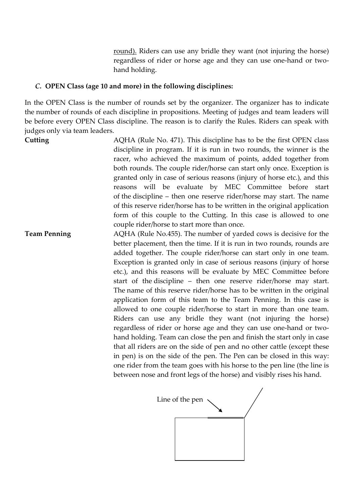round). Riders can use any bridle they want (not injuring the horse) regardless of rider or horse age and they can use one-hand or twohand holding.

### *C.* **OPEN Class (age 10 and more) in the following disciplines:**

In the OPEN Class is the number of rounds set by the organizer. The organizer has to indicate the number of rounds of each discipline in propositions. Meeting of judges and team leaders will be before every OPEN Class discipline. The reason is to clarify the Rules. Riders can speak with judges only via team leaders.

**Cutting** AQHA (Rule No. 471). This discipline has to be the first OPEN class discipline in program. If it is run in two rounds, the winner is the racer, who achieved the maximum of points, added together from both rounds. The couple rider/horse can start only once. Exception is granted only in case of serious reasons (injury of horse etc.), and this reasons will be evaluate by MEC Committee before start of the discipline – then one reserve rider/horse may start. The name of this reserve rider/horse has to be written in the original application form of this couple to the Cutting. In this case is allowed to one couple rider/horse to start more than once. **Team Penning** AQHA (Rule No.455). The number of yarded cows is decisive for the

better placement, then the time. If it is run in two rounds, rounds are added together. The couple rider/horse can start only in one team. Exception is granted only in case of serious reasons (injury of horse etc.), and this reasons will be evaluate by MEC Committee before start of the discipline – then one reserve rider/horse may start. The name of this reserve rider/horse has to be written in the original application form of this team to the Team Penning. In this case is allowed to one couple rider/horse to start in more than one team. Riders can use any bridle they want (not injuring the horse) regardless of rider or horse age and they can use one-hand or twohand holding. Team can close the pen and finish the start only in case that all riders are on the side of pen and no other cattle (except these in pen) is on the side of the pen. The Pen can be closed in this way: one rider from the team goes with his horse to the pen line (the line is between nose and front legs of the horse) and visibly rises his hand.

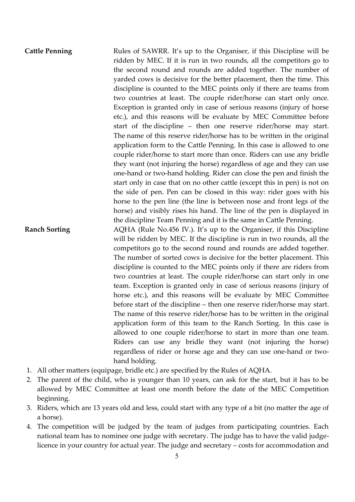# Cattle Penning **Rules of SAWRR.** It's up to the Organiser, if this Discipline will be ridden by MEC. If it is run in two rounds, all the competitors go to the second round and rounds are added together. The number of yarded cows is decisive for the better placement, then the time. This discipline is counted to the MEC points only if there are teams from two countries at least. The couple rider/horse can start only once. Exception is granted only in case of serious reasons (injury of horse etc.), and this reasons will be evaluate by MEC Committee before start of the discipline – then one reserve rider/horse may start. The name of this reserve rider/horse has to be written in the original application form to the Cattle Penning. In this case is allowed to one couple rider/horse to start more than once. Riders can use any bridle they want (not injuring the horse) regardless of age and they can use one-hand or two-hand holding. Rider can close the pen and finish the start only in case that on no other cattle (except this in pen) is not on the side of pen. Pen can be closed in this way: rider goes with his horse to the pen line (the line is between nose and front legs of the horse) and visibly rises his hand. The line of the pen is displayed in the discipline Team Penning and it is the same in Cattle Penning. **Ranch Sorting** AQHA (Rule No.456 IV.). It's up to the Organiser, if this Discipline will be ridden by MEC. If the discipline is run in two rounds, all the competitors go to the second round and rounds are added together. The number of sorted cows is decisive for the better placement. This discipline is counted to the MEC points only if there are riders from two countries at least. The couple rider/horse can start only in one team. Exception is granted only in case of serious reasons (injury of horse etc.), and this reasons will be evaluate by MEC Committee before start of the discipline – then one reserve rider/horse may start. The name of this reserve rider/horse has to be written in the original application form of this team to the Ranch Sorting. In this case is allowed to one couple rider/horse to start in more than one team. Riders can use any bridle they want (not injuring the horse)

1. All other matters (equipage, bridle etc.) are specified by the Rules of AQHA.

hand holding.

2. The parent of the child, who is younger than 10 years, can ask for the start, but it has to be allowed by MEC Committee at least one month before the date of the MEC Competition beginning.

regardless of rider or horse age and they can use one-hand or two-

- 3. Riders, which are 13 years old and less, could start with any type of a bit (no matter the age of a horse).
- 4. The competition will be judged by the team of judges from participating countries. Each national team has to nominee one judge with secretary. The judge has to have the valid judgelicence in your country for actual year. The judge and secretary – costs for accommodation and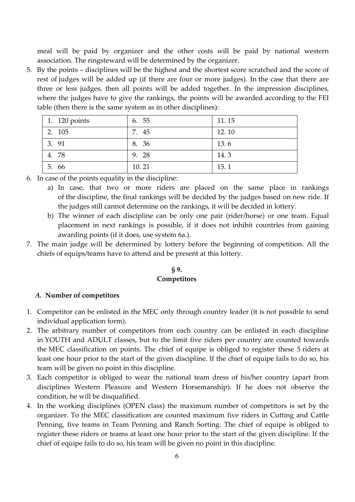meal will be paid by organizer and the other costs will be paid by national western association. The ringsteward will be determined by the organizer.

5. By the points – disciplines will be the highest and the shortest score scratched and the score of rest of judges will be added up (if there are four or more judges). In the case that there are three or less judges, then all points will be added together. In the impression disciplines, where the judges have to give the rankings, the points will be awarded according to the FEI table (then there is the same system as in other disciplines):

| 1. 120 points | 6. 55 | 11.15 |
|---------------|-------|-------|
| 2. 105        | 7. 45 | 12.10 |
| 3. 91         | 8. 36 | 13.6  |
| 4. 78         | 9. 28 | 14.3  |
| 5. 66         | 10.21 | 15.1  |

6. In case of the points equality in the discipline:

- a) In case, that two or more riders are placed on the same place in rankings of the discipline, the final rankings will be decided by the judges based on new ride. If the judges still cannot determine on the rankings, it will be decided in lottery.
- b) The winner of each discipline can be only one pair (rider/horse) or one team. Equal placement in next rankings is possible, if it does not inhibit countries from gaining awarding points (if it does, use system 6a.).
- 7. The main judge will be determined by lottery before the beginning of competition. All the chiefs of equips/teams have to attend and be present at this lottery.

### **§ 9. Competitors**

#### *A.* **Number of competitors**

- 1. Competitor can be enlisted in the MEC only through country leader (it is not possible to send individual application form).
- 2. The arbitrary number of competitors from each country can be enlisted in each discipline in YOUTH and ADULT classes, but to the limit five riders per country are counted towards the MEC classification on points. The chief of equipe is obliged to register these 5 riders at least one hour prior to the start of the given discipline. If the chief of equipe fails to do so, his team will be given no point in this discipline.
- 3. Each competitor is obliged to wear the national team dress of his/her country (apart from disciplines Western Pleasure and Western Horsemanship). If he does not observe the condition, he will be disqualified.
- 4. In the working disciplines (OPEN class) the maximum number of competitors is set by the organizer. To the MEC classification are counted maximum five riders in Cutting and Cattle Penning, five teams in Team Penning and Ranch Sorting. The chief of equipe is obliged to register these riders or teams at least one hour prior to the start of the given discipline. If the chief of equipe fails to do so, his team will be given no point in this discipline.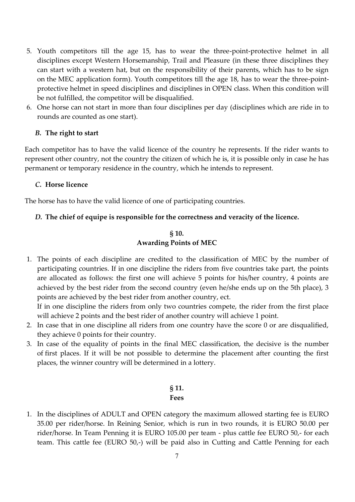- 5. Youth competitors till the age 15, has to wear the three-point-protective helmet in all disciplines except Western Horsemanship, Trail and Pleasure (in these three disciplines they can start with a western hat, but on the responsibility of their parents, which has to be sign on the MEC application form). Youth competitors till the age 18, has to wear the three-pointprotective helmet in speed disciplines and disciplines in OPEN class. When this condition will be not fulfilled, the competitor will be disqualified.
- 6. One horse can not start in more than four disciplines per day (disciplines which are ride in to rounds are counted as one start).

### *B.* **The right to start**

Each competitor has to have the valid licence of the country he represents. If the rider wants to represent other country, not the country the citizen of which he is, it is possible only in case he has permanent or temporary residence in the country, which he intends to represent.

#### *C.* **Horse licence**

The horse has to have the valid licence of one of participating countries.

### *D.* **The chief of equipe is responsible for the correctness and veracity of the licence.**

# **§ 10. Awarding Points of MEC**

1. The points of each discipline are credited to the classification of MEC by the number of participating countries. If in one discipline the riders from five countries take part, the points are allocated as follows: the first one will achieve 5 points for his/her country, 4 points are achieved by the best rider from the second country (even he/she ends up on the 5th place), 3 points are achieved by the best rider from another country, ect.

If in one discipline the riders from only two countries compete, the rider from the first place will achieve 2 points and the best rider of another country will achieve 1 point.

- 2. In case that in one discipline all riders from one country have the score 0 or are disqualified, they achieve 0 points for their country.
- 3. In case of the equality of points in the final MEC classification, the decisive is the number of first places. If it will be not possible to determine the placement after counting the first places, the winner country will be determined in a lottery.

### **§ 11. Fees**

1. In the disciplines of ADULT and OPEN category the maximum allowed starting fee is EURO 35.00 per rider/horse. In Reining Senior, which is run in two rounds, it is EURO 50.00 per rider/horse. In Team Penning it is EURO 105.00 per team - plus cattle fee EURO 50,- for each team. This cattle fee (EURO 50,-) will be paid also in Cutting and Cattle Penning for each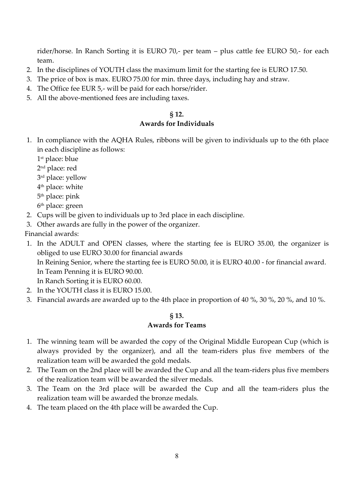rider/horse. In Ranch Sorting it is EURO 70,- per team – plus cattle fee EURO 50,- for each team.

- 2. In the disciplines of YOUTH class the maximum limit for the starting fee is EURO 17.50.
- 3. The price of box is max. EURO 75.00 for min. three days, including hay and straw.
- 4. The Office fee EUR 5,- will be paid for each horse/rider.
- 5. All the above-mentioned fees are including taxes.

#### **§ 12. Awards for Individuals**

- 1. In compliance with the AQHA Rules, ribbons will be given to individuals up to the 6th place in each discipline as follows:
	- 1 st place: blue
	- 2 nd place: red
	- 3 rd place: yellow
	- 4 th place: white
	- 5 th place: pink
	- 6 th place: green
- 2. Cups will be given to individuals up to 3rd place in each discipline.
- 3. Other awards are fully in the power of the organizer.
- Financial awards:
- 1. In the ADULT and OPEN classes, where the starting fee is EURO 35.00, the organizer is obliged to use EURO 30.00 for financial awards In Reining Senior, where the starting fee is EURO 50.00, it is EURO 40.00 - for financial award. In Team Penning it is EURO 90.00.

In Ranch Sorting it is EURO 60.00.

- 2. In the YOUTH class it is EURO 15.00.
- 3. Financial awards are awarded up to the 4th place in proportion of 40 %, 30 %, 20 %, and 10 %.

### **§ 13.**

### **Awards for Teams**

- 1. The winning team will be awarded the copy of the Original Middle European Cup (which is always provided by the organizer), and all the team-riders plus five members of the realization team will be awarded the gold medals.
- 2. The Team on the 2nd place will be awarded the Cup and all the team-riders plus five members of the realization team will be awarded the silver medals.
- 3. The Team on the 3rd place will be awarded the Cup and all the team-riders plus the realization team will be awarded the bronze medals.
- 4. The team placed on the 4th place will be awarded the Cup.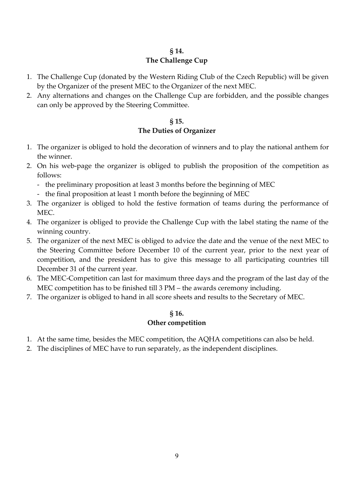# **§ 14.**

# **The Challenge Cup**

- 1. The Challenge Cup (donated by the Western Riding Club of the Czech Republic) will be given by the Organizer of the present MEC to the Organizer of the next MEC.
- 2. Any alternations and changes on the Challenge Cup are forbidden, and the possible changes can only be approved by the Steering Committee.

# **§ 15.**

# **The Duties of Organizer**

- 1. The organizer is obliged to hold the decoration of winners and to play the national anthem for the winner.
- 2. On his web-page the organizer is obliged to publish the proposition of the competition as follows:
	- the preliminary proposition at least 3 months before the beginning of MEC
	- the final proposition at least 1 month before the beginning of MEC
- 3. The organizer is obliged to hold the festive formation of teams during the performance of MEC.
- 4. The organizer is obliged to provide the Challenge Cup with the label stating the name of the winning country.
- 5. The organizer of the next MEC is obliged to advice the date and the venue of the next MEC to the Steering Committee before December 10 of the current year, prior to the next year of competition, and the president has to give this message to all participating countries till December 31 of the current year.
- 6. The MEC-Competition can last for maximum three days and the program of the last day of the MEC competition has to be finished till 3 PM – the awards ceremony including.
- 7. The organizer is obliged to hand in all score sheets and results to the Secretary of MEC.

# **§ 16. Other competition**

- 1. At the same time, besides the MEC competition, the AQHA competitions can also be held.
- 2. The disciplines of MEC have to run separately, as the independent disciplines.